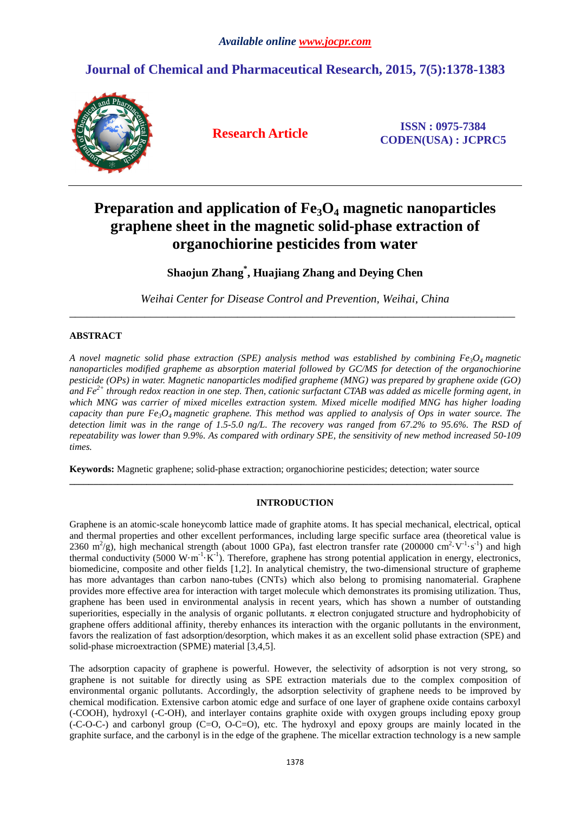# **Journal of Chemical and Pharmaceutical Research, 2015, 7(5):1378-1383**



**Research Article ISSN : 0975-7384 CODEN(USA) : JCPRC5**

# **Preparation and application of Fe3O4 magnetic nanoparticles graphene sheet in the magnetic solid-phase extraction of organochiorine pesticides from water**

**Shaojun Zhang\* , Huajiang Zhang and Deying Chen** 

*Weihai Center for Disease Control and Prevention, Weihai, China \_\_\_\_\_\_\_\_\_\_\_\_\_\_\_\_\_\_\_\_\_\_\_\_\_\_\_\_\_\_\_\_\_\_\_\_\_\_\_\_\_\_\_\_\_\_\_\_\_\_\_\_\_\_\_\_\_\_\_\_\_\_\_\_\_\_\_\_\_\_\_\_\_\_\_\_\_* 

# **ABSTRACT**

*A novel magnetic solid phase extraction (SPE) analysis method was established by combining Fe3O4 magnetic nanoparticles modified grapheme as absorption material followed by GC/MS for detection of the organochiorine pesticide (OPs) in water. Magnetic nanoparticles modified grapheme (MNG) was prepared by graphene oxide (GO) and Fe2+ through redox reaction in one step. Then, cationic surfactant CTAB was added as micelle forming agent, in which MNG was carrier of mixed micelles extraction system. Mixed micelle modified MNG has higher loading capacity than pure Fe3O4 magnetic graphene. This method was applied to analysis of Ops in water source. The detection limit was in the range of 1.5-5.0 ng/L. The recovery was ranged from 67.2% to 95.6%. The RSD of repeatability was lower than 9.9%. As compared with ordinary SPE, the sensitivity of new method increased 50-109 times.* 

**Keywords:** Magnetic graphene; solid-phase extraction; organochiorine pesticides; detection; water source

# **INTRODUCTION**

**\_\_\_\_\_\_\_\_\_\_\_\_\_\_\_\_\_\_\_\_\_\_\_\_\_\_\_\_\_\_\_\_\_\_\_\_\_\_\_\_\_\_\_\_\_\_\_\_\_\_\_\_\_\_\_\_\_\_\_\_\_\_\_\_\_\_\_\_\_\_\_\_\_\_\_\_\_\_\_\_\_\_\_\_\_\_\_\_\_\_\_\_** 

Graphene is an atomic-scale honeycomb lattice made of graphite atoms. It has special mechanical, electrical, optical and thermal properties and other excellent performances, including large specific surface area (theoretical value is 2360 m<sup>2</sup>/g), high mechanical strength (about 1000 GPa), fast electron transfer rate (200000 cm<sup>2</sup>·V<sup>-1</sup>·s<sup>-1</sup>) and high thermal conductivity (5000 W·m<sup>-1</sup>·K<sup>-1</sup>). Therefore, graphene has strong potential application in energy, electronics, biomedicine, composite and other fields [1,2]. In analytical chemistry, the two-dimensional structure of grapheme has more advantages than carbon nano-tubes (CNTs) which also belong to promising nanomaterial. Graphene provides more effective area for interaction with target molecule which demonstrates its promising utilization. Thus, graphene has been used in environmental analysis in recent years, which has shown a number of outstanding superiorities, especially in the analysis of organic pollutants.  $\pi$  electron conjugated structure and hydrophobicity of graphene offers additional affinity, thereby enhances its interaction with the organic pollutants in the environment, favors the realization of fast adsorption/desorption, which makes it as an excellent solid phase extraction (SPE) and solid-phase microextraction (SPME) material [3,4,5].

The adsorption capacity of graphene is powerful. However, the selectivity of adsorption is not very strong, so graphene is not suitable for directly using as SPE extraction materials due to the complex composition of environmental organic pollutants. Accordingly, the adsorption selectivity of graphene needs to be improved by chemical modification. Extensive carbon atomic edge and surface of one layer of graphene oxide contains carboxyl (-COOH), hydroxyl (-C-OH), and interlayer contains graphite oxide with oxygen groups including epoxy group (-C-O-C-) and carbonyl group (C=O, O-C=O), etc. The hydroxyl and epoxy groups are mainly located in the graphite surface, and the carbonyl is in the edge of the graphene. The micellar extraction technology is a new sample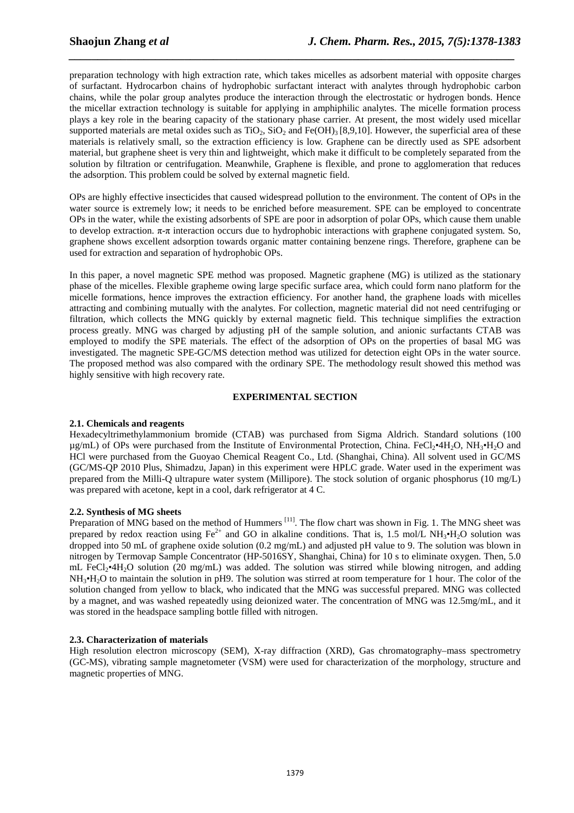preparation technology with high extraction rate, which takes micelles as adsorbent material with opposite charges of surfactant. Hydrocarbon chains of hydrophobic surfactant interact with analytes through hydrophobic carbon chains, while the polar group analytes produce the interaction through the electrostatic or hydrogen bonds. Hence the micellar extraction technology is suitable for applying in amphiphilic analytes. The micelle formation process plays a key role in the bearing capacity of the stationary phase carrier. At present, the most widely used micellar supported materials are metal oxides such as  $TiO<sub>2</sub>$ ,  $SiO<sub>2</sub>$  and  $Fe(OH)<sub>3</sub>[8,9,10]$ . However, the superficial area of these materials is relatively small, so the extraction efficiency is low. Graphene can be directly used as SPE adsorbent material, but graphene sheet is very thin and lightweight, which make it difficult to be completely separated from the solution by filtration or centrifugation. Meanwhile, Graphene is flexible, and prone to agglomeration that reduces the adsorption. This problem could be solved by external magnetic field.

*\_\_\_\_\_\_\_\_\_\_\_\_\_\_\_\_\_\_\_\_\_\_\_\_\_\_\_\_\_\_\_\_\_\_\_\_\_\_\_\_\_\_\_\_\_\_\_\_\_\_\_\_\_\_\_\_\_\_\_\_\_\_\_\_\_\_\_\_\_\_\_\_\_\_\_\_\_*

OPs are highly effective insecticides that caused widespread pollution to the environment. The content of OPs in the water source is extremely low; it needs to be enriched before measurement. SPE can be employed to concentrate OPs in the water, while the existing adsorbents of SPE are poor in adsorption of polar OPs, which cause them unable to develop extraction. π-π interaction occurs due to hydrophobic interactions with graphene conjugated system. So, graphene shows excellent adsorption towards organic matter containing benzene rings. Therefore, graphene can be used for extraction and separation of hydrophobic OPs.

In this paper, a novel magnetic SPE method was proposed. Magnetic graphene (MG) is utilized as the stationary phase of the micelles. Flexible grapheme owing large specific surface area, which could form nano platform for the micelle formations, hence improves the extraction efficiency. For another hand, the graphene loads with micelles attracting and combining mutually with the analytes. For collection, magnetic material did not need centrifuging or filtration, which collects the MNG quickly by external magnetic field. This technique simplifies the extraction process greatly. MNG was charged by adjusting pH of the sample solution, and anionic surfactants CTAB was employed to modify the SPE materials. The effect of the adsorption of OPs on the properties of basal MG was investigated. The magnetic SPE-GC/MS detection method was utilized for detection eight OPs in the water source. The proposed method was also compared with the ordinary SPE. The methodology result showed this method was highly sensitive with high recovery rate.

### **EXPERIMENTAL SECTION**

### **2.1. Chemicals and reagents**

Hexadecyltrimethylammonium bromide (CTAB) was purchased from Sigma Aldrich. Standard solutions (100 µg/mL) of OPs were purchased from the Institute of Environmental Protection, China. FeCl<sub>2</sub>•4H<sub>2</sub>O, NH<sub>3</sub>•H<sub>2</sub>O and HCl were purchased from the Guoyao Chemical Reagent Co., Ltd. (Shanghai, China). All solvent used in GC/MS (GC/MS-QP 2010 Plus, Shimadzu, Japan) in this experiment were HPLC grade. Water used in the experiment was prepared from the Milli-Q ultrapure water system (Millipore). The stock solution of organic phosphorus (10 mg/L) was prepared with acetone, kept in a cool, dark refrigerator at 4 C.

### **2.2. Synthesis of MG sheets**

Preparation of MNG based on the method of Hummers <sup>[11]</sup>. The flow chart was shown in Fig. 1. The MNG sheet was prepared by redox reaction using  $Fe^{2+}$  and GO in alkaline conditions. That is, 1.5 mol/L NH<sub>3</sub>•H<sub>2</sub>O solution was dropped into 50 mL of graphene oxide solution (0.2 mg/mL) and adjusted pH value to 9. The solution was blown in nitrogen by Termovap Sample Concentrator (HP-5016SY, Shanghai, China) for 10 s to eliminate oxygen. Then, 5.0 mL FeCl<sub>2</sub>•4H<sub>2</sub>O solution (20 mg/mL) was added. The solution was stirred while blowing nitrogen, and adding NH<sub>3</sub>•H<sub>2</sub>O to maintain the solution in pH9. The solution was stirred at room temperature for 1 hour. The color of the solution changed from yellow to black, who indicated that the MNG was successful prepared. MNG was collected by a magnet, and was washed repeatedly using deionized water. The concentration of MNG was 12.5mg/mL, and it was stored in the headspace sampling bottle filled with nitrogen.

### **2.3. Characterization of materials**

High resolution electron microscopy (SEM), X-ray diffraction (XRD), Gas chromatography–mass spectrometry (GC-MS), vibrating sample magnetometer (VSM) were used for characterization of the morphology, structure and magnetic properties of MNG.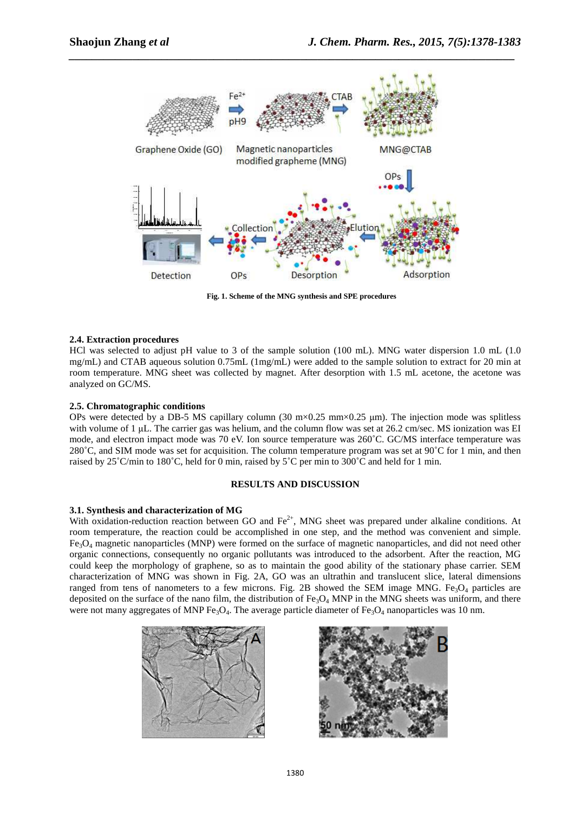

*\_\_\_\_\_\_\_\_\_\_\_\_\_\_\_\_\_\_\_\_\_\_\_\_\_\_\_\_\_\_\_\_\_\_\_\_\_\_\_\_\_\_\_\_\_\_\_\_\_\_\_\_\_\_\_\_\_\_\_\_\_\_\_\_\_\_\_\_\_\_\_\_\_\_\_\_\_*

**Fig. 1. Scheme of the MNG synthesis and SPE procedures** 

# **2.4. Extraction procedures**

HCl was selected to adjust pH value to 3 of the sample solution (100 mL). MNG water dispersion 1.0 mL (1.0 mg/mL) and CTAB aqueous solution 0.75mL (1mg/mL) were added to the sample solution to extract for 20 min at room temperature. MNG sheet was collected by magnet. After desorption with 1.5 mL acetone, the acetone was analyzed on GC/MS.

### **2.5. Chromatographic conditions**

OPs were detected by a DB-5 MS capillary column (30 m×0.25 mm×0.25 µm). The injection mode was splitless with volume of 1 µL. The carrier gas was helium, and the column flow was set at 26.2 cm/sec. MS ionization was EI mode, and electron impact mode was 70 eV. Ion source temperature was 260˚C. GC/MS interface temperature was 280˚C, and SIM mode was set for acquisition. The column temperature program was set at 90˚C for 1 min, and then raised by 25˚C/min to 180˚C, held for 0 min, raised by 5˚C per min to 300˚C and held for 1 min.

### **RESULTS AND DISCUSSION**

### **3.1. Synthesis and characterization of MG**

With oxidation-reduction reaction between GO and  $Fe^{2+}$ , MNG sheet was prepared under alkaline conditions. At room temperature, the reaction could be accomplished in one step, and the method was convenient and simple. Fe3O4 magnetic nanoparticles (MNP) were formed on the surface of magnetic nanoparticles, and did not need other organic connections, consequently no organic pollutants was introduced to the adsorbent. After the reaction, MG could keep the morphology of graphene, so as to maintain the good ability of the stationary phase carrier. SEM characterization of MNG was shown in Fig. 2A, GO was an ultrathin and translucent slice, lateral dimensions ranged from tens of nanometers to a few microns. Fig. 2B showed the SEM image MNG. Fe<sub>3</sub>O<sub>4</sub> particles are deposited on the surface of the nano film, the distribution of  $Fe<sub>3</sub>O<sub>4</sub>$  MNP in the MNG sheets was uniform, and there were not many aggregates of MNP Fe<sub>3</sub>O<sub>4</sub>. The average particle diameter of Fe<sub>3</sub>O<sub>4</sub> nanoparticles was 10 nm.



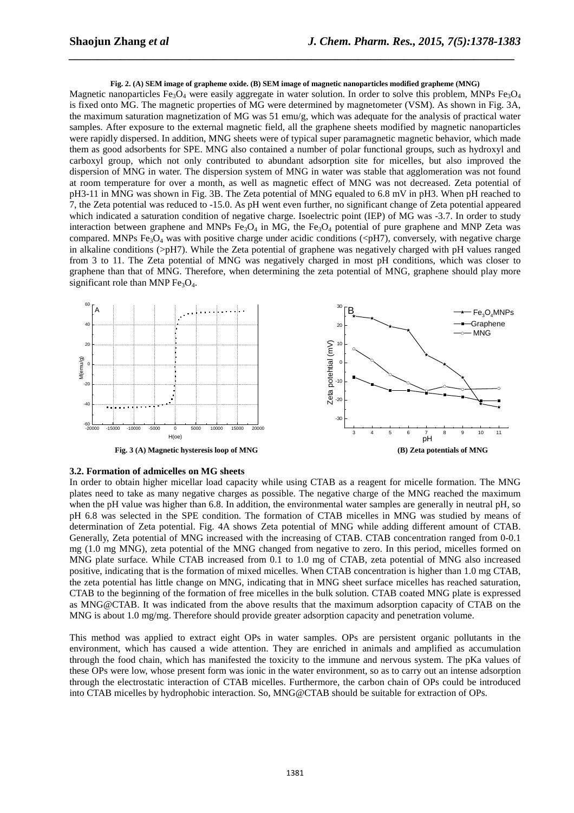#### **Fig. 2. (A) SEM image of grapheme oxide. (B) SEM image of magnetic nanoparticles modified grapheme (MNG)**

*\_\_\_\_\_\_\_\_\_\_\_\_\_\_\_\_\_\_\_\_\_\_\_\_\_\_\_\_\_\_\_\_\_\_\_\_\_\_\_\_\_\_\_\_\_\_\_\_\_\_\_\_\_\_\_\_\_\_\_\_\_\_\_\_\_\_\_\_\_\_\_\_\_\_\_\_\_*

Magnetic nanoparticles  $Fe<sub>3</sub>O<sub>4</sub>$  were easily aggregate in water solution. In order to solve this problem, MNPs  $Fe<sub>3</sub>O<sub>4</sub>$ is fixed onto MG. The magnetic properties of MG were determined by magnetometer (VSM). As shown in Fig. 3A, the maximum saturation magnetization of MG was 51 emu/g, which was adequate for the analysis of practical water samples. After exposure to the external magnetic field, all the graphene sheets modified by magnetic nanoparticles were rapidly dispersed. In addition, MNG sheets were of typical super paramagnetic magnetic behavior, which made them as good adsorbents for SPE. MNG also contained a number of polar functional groups, such as hydroxyl and carboxyl group, which not only contributed to abundant adsorption site for micelles, but also improved the dispersion of MNG in water. The dispersion system of MNG in water was stable that agglomeration was not found at room temperature for over a month, as well as magnetic effect of MNG was not decreased. Zeta potential of pH3-11 in MNG was shown in Fig. 3B. The Zeta potential of MNG equaled to 6.8 mV in pH3. When pH reached to 7, the Zeta potential was reduced to -15.0. As pH went even further, no significant change of Zeta potential appeared which indicated a saturation condition of negative charge. Isoelectric point (IEP) of MG was -3.7. In order to study interaction between graphene and MNPs  $Fe_3O_4$  in MG, the  $Fe_3O_4$  potential of pure graphene and MNP Zeta was compared. MNPs Fe<sub>3</sub>O<sub>4</sub> was with positive charge under acidic conditions ( $\langle \text{pH7} \rangle$ , conversely, with negative charge in alkaline conditions (>pH7). While the Zeta potential of graphene was negatively charged with pH values ranged from 3 to 11. The Zeta potential of MNG was negatively charged in most pH conditions, which was closer to graphene than that of MNG. Therefore, when determining the zeta potential of MNG, graphene should play more significant role than MNP  $Fe<sub>3</sub>O<sub>4</sub>$ .



# **3.2. Formation of admicelles on MG sheets**

In order to obtain higher micellar load capacity while using CTAB as a reagent for micelle formation. The MNG plates need to take as many negative charges as possible. The negative charge of the MNG reached the maximum when the pH value was higher than 6.8. In addition, the environmental water samples are generally in neutral pH, so pH 6.8 was selected in the SPE condition. The formation of CTAB micelles in MNG was studied by means of determination of Zeta potential. Fig. 4A shows Zeta potential of MNG while adding different amount of CTAB. Generally, Zeta potential of MNG increased with the increasing of CTAB. CTAB concentration ranged from 0-0.1 mg (1.0 mg MNG), zeta potential of the MNG changed from negative to zero. In this period, micelles formed on MNG plate surface. While CTAB increased from 0.1 to 1.0 mg of CTAB, zeta potential of MNG also increased positive, indicating that is the formation of mixed micelles. When CTAB concentration is higher than 1.0 mg CTAB, the zeta potential has little change on MNG, indicating that in MNG sheet surface micelles has reached saturation, CTAB to the beginning of the formation of free micelles in the bulk solution. CTAB coated MNG plate is expressed as MNG@CTAB. It was indicated from the above results that the maximum adsorption capacity of CTAB on the MNG is about 1.0 mg/mg. Therefore should provide greater adsorption capacity and penetration volume.

This method was applied to extract eight OPs in water samples. OPs are persistent organic pollutants in the environment, which has caused a wide attention. They are enriched in animals and amplified as accumulation through the food chain, which has manifested the toxicity to the immune and nervous system. The pKa values of these OPs were low, whose present form was ionic in the water environment, so as to carry out an intense adsorption through the electrostatic interaction of CTAB micelles. Furthermore, the carbon chain of OPs could be introduced into CTAB micelles by hydrophobic interaction. So, MNG@CTAB should be suitable for extraction of OPs.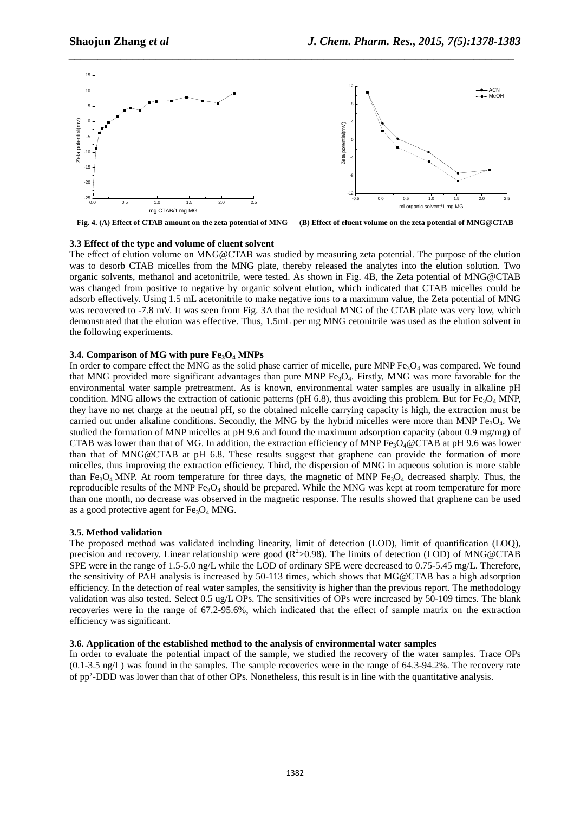

*\_\_\_\_\_\_\_\_\_\_\_\_\_\_\_\_\_\_\_\_\_\_\_\_\_\_\_\_\_\_\_\_\_\_\_\_\_\_\_\_\_\_\_\_\_\_\_\_\_\_\_\_\_\_\_\_\_\_\_\_\_\_\_\_\_\_\_\_\_\_\_\_\_\_\_\_\_*

**Fig. 4. (A) Effect of CTAB amount on the zeta potential of MNG (B) Effect of eluent volume on the zeta potential of MNG@CTAB** 

#### **3.3 Effect of the type and volume of eluent solvent**

The effect of elution volume on MNG@CTAB was studied by measuring zeta potential. The purpose of the elution was to desorb CTAB micelles from the MNG plate, thereby released the analytes into the elution solution. Two organic solvents, methanol and acetonitrile, were tested. As shown in Fig. 4B, the Zeta potential of MNG@CTAB was changed from positive to negative by organic solvent elution, which indicated that CTAB micelles could be adsorb effectively. Using 1.5 mL acetonitrile to make negative ions to a maximum value, the Zeta potential of MNG was recovered to -7.8 mV. It was seen from Fig. 3A that the residual MNG of the CTAB plate was very low, which demonstrated that the elution was effective. Thus, 1.5mL per mg MNG cetonitrile was used as the elution solvent in the following experiments.

### **3.4. Comparison of MG with pure Fe3O4 MNPs**

In order to compare effect the MNG as the solid phase carrier of micelle, pure MNP  $Fe_3O_4$  was compared. We found that MNG provided more significant advantages than pure MNP  $Fe<sub>3</sub>O<sub>4</sub>$ . Firstly, MNG was more favorable for the environmental water sample pretreatment. As is known, environmental water samples are usually in alkaline pH condition. MNG allows the extraction of cationic patterns (pH 6.8), thus avoiding this problem. But for Fe<sub>3</sub>O<sub>4</sub> MNP, they have no net charge at the neutral pH, so the obtained micelle carrying capacity is high, the extraction must be carried out under alkaline conditions. Secondly, the MNG by the hybrid micelles were more than MNP  $Fe<sub>3</sub>O<sub>4</sub>$ . We studied the formation of MNP micelles at pH 9.6 and found the maximum adsorption capacity (about 0.9 mg/mg) of CTAB was lower than that of MG. In addition, the extraction efficiency of MNP Fe<sub>3</sub>O<sub>4</sub>@CTAB at pH 9.6 was lower than that of MNG@CTAB at pH 6.8. These results suggest that graphene can provide the formation of more micelles, thus improving the extraction efficiency. Third, the dispersion of MNG in aqueous solution is more stable than Fe<sub>3</sub>O<sub>4</sub> MNP. At room temperature for three days, the magnetic of MNP Fe<sub>3</sub>O<sub>4</sub> decreased sharply. Thus, the reproducible results of the MNP  $Fe<sub>3</sub>O<sub>4</sub>$  should be prepared. While the MNG was kept at room temperature for more than one month, no decrease was observed in the magnetic response. The results showed that graphene can be used as a good protective agent for  $Fe<sub>3</sub>O<sub>4</sub>$  MNG.

### **3.5. Method validation**

The proposed method was validated including linearity, limit of detection (LOD), limit of quantification (LOQ), precision and recovery. Linear relationship were good  $(R^2>0.98)$ . The limits of detection (LOD) of MNG@CTAB SPE were in the range of 1.5-5.0 ng/L while the LOD of ordinary SPE were decreased to 0.75-5.45 mg/L. Therefore, the sensitivity of PAH analysis is increased by 50-113 times, which shows that MG@CTAB has a high adsorption efficiency. In the detection of real water samples, the sensitivity is higher than the previous report. The methodology validation was also tested. Select 0.5 ug/L OPs. The sensitivities of OPs were increased by 50-109 times. The blank recoveries were in the range of 67.2-95.6%, which indicated that the effect of sample matrix on the extraction efficiency was significant.

### **3.6. Application of the established method to the analysis of environmental water samples**

In order to evaluate the potential impact of the sample, we studied the recovery of the water samples. Trace OPs (0.1-3.5 ng/L) was found in the samples. The sample recoveries were in the range of 64.3-94.2%. The recovery rate of pp'-DDD was lower than that of other OPs. Nonetheless, this result is in line with the quantitative analysis.